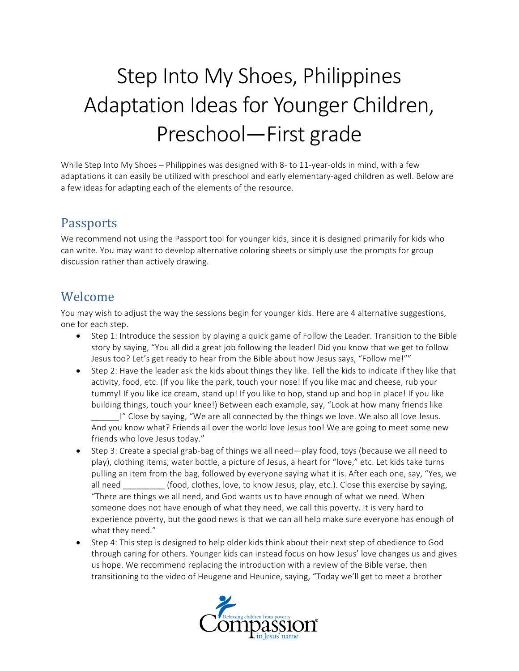# Step Into My Shoes, Philippines Adaptation Ideas for Younger Children, Preschool—First grade

While Step Into My Shoes – Philippines was designed with 8- to 11-year-olds in mind, with a few adaptations it can easily be utilized with preschool and early elementary-aged children as well. Below are a few ideas for adapting each of the elements of the resource.

#### Passports

We recommend not using the Passport tool for younger kids, since it is designed primarily for kids who can write. You may want to develop alternative coloring sheets or simply use the prompts for group discussion rather than actively drawing.

## Welcome

You may wish to adjust the way the sessions begin for younger kids. Here are 4 alternative suggestions, one for each step.

- Step 1: Introduce the session by playing a quick game of Follow the Leader. Transition to the Bible story by saying, "You all did a great job following the leader! Did you know that we get to follow Jesus too? Let's get ready to hear from the Bible about how Jesus says, "Follow me!""
- Step 2: Have the leader ask the kids about things they like. Tell the kids to indicate if they like that activity, food, etc. (If you like the park, touch your nose! If you like mac and cheese, rub your tummy! If you like ice cream, stand up! If you like to hop, stand up and hop in place! If you like building things, touch your knee!) Between each example, say, "Look at how many friends like

I" Close by saying, "We are all connected by the things we love. We also all love Jesus. And you know what? Friends all over the world love Jesus too! We are going to meet some new friends who love Jesus today."

- Step 3: Create a special grab-bag of things we all need—play food, toys (because we all need to play), clothing items, water bottle, a picture of Jesus, a heart for "love," etc. Let kids take turns pulling an item from the bag, followed by everyone saying what it is. After each one, say, "Yes, we all need \_\_\_\_\_\_\_\_\_\_\_(food, clothes, love, to know Jesus, play, etc.). Close this exercise by saying, "There are things we all need, and God wants us to have enough of what we need. When someone does not have enough of what they need, we call this poverty. It is very hard to experience poverty, but the good news is that we can all help make sure everyone has enough of what they need."
- Step 4: This step is designed to help older kids think about their next step of obedience to God through caring for others. Younger kids can instead focus on how Jesus' love changes us and gives us hope. We recommend replacing the introduction with a review of the Bible verse, then transitioning to the video of Heugene and Heunice, saying, "Today we'll get to meet a brother

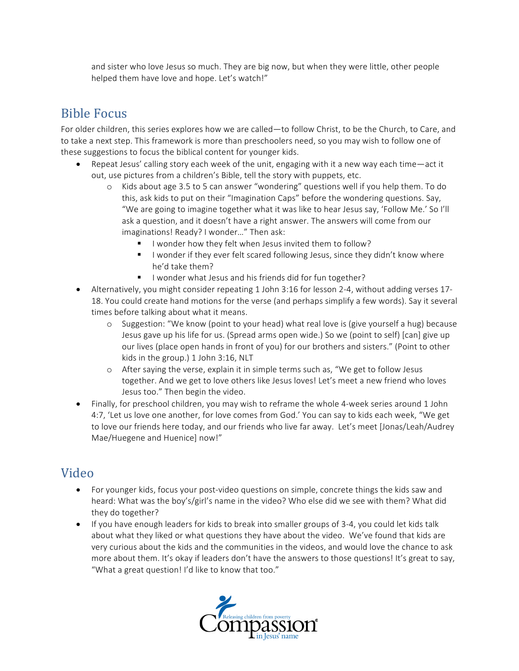and sister who love Jesus so much. They are big now, but when they were little, other people helped them have love and hope. Let's watch!"

## **Bible Focus**

For older children, this series explores how we are called—to follow Christ, to be the Church, to Care, and to take a next step. This framework is more than preschoolers need, so you may wish to follow one of these suggestions to focus the biblical content for younger kids.

- Repeat Jesus' calling story each week of the unit, engaging with it a new way each time—act it out, use pictures from a children's Bible, tell the story with puppets, etc.
	- $\circ$  Kids about age 3.5 to 5 can answer "wondering" questions well if you help them. To do this, ask kids to put on their "Imagination Caps" before the wondering questions. Say, "We are going to imagine together what it was like to hear Jesus say, 'Follow Me.' So I'll ask a question, and it doesn't have a right answer. The answers will come from our imaginations! Ready? I wonder..." Then ask:
		- I wonder how they felt when Jesus invited them to follow?
		- I wonder if they ever felt scared following Jesus, since they didn't know where he'd take them?
		- I wonder what Jesus and his friends did for fun together?
- Alternatively, you might consider repeating 1 John 3:16 for lesson 2-4, without adding verses 17-18. You could create hand motions for the verse (and perhaps simplify a few words). Say it several times before talking about what it means.
	- $\circ$  Suggestion: "We know (point to your head) what real love is (give yourself a hug) because Jesus gave up his life for us. (Spread arms open wide.) So we (point to self) [can] give up our lives (place open hands in front of you) for our brothers and sisters." (Point to other kids in the group.)  $1$  John  $3:16$ , NLT
	- $\circ$  After saying the verse, explain it in simple terms such as, "We get to follow Jesus together. And we get to love others like Jesus loves! Let's meet a new friend who loves Jesus too." Then begin the video.
- Finally, for preschool children, you may wish to reframe the whole 4-week series around 1 John 4:7, 'Let us love one another, for love comes from God.' You can say to kids each week, "We get to love our friends here today, and our friends who live far away. Let's meet [Jonas/Leah/Audrey Mae/Huegene and Huenice] now!"

### Video

- For younger kids, focus your post-video questions on simple, concrete things the kids saw and heard: What was the boy's/girl's name in the video? Who else did we see with them? What did they do together?
- If you have enough leaders for kids to break into smaller groups of 3-4, you could let kids talk about what they liked or what questions they have about the video. We've found that kids are very curious about the kids and the communities in the videos, and would love the chance to ask more about them. It's okay if leaders don't have the answers to those questions! It's great to say, "What a great question! I'd like to know that too."